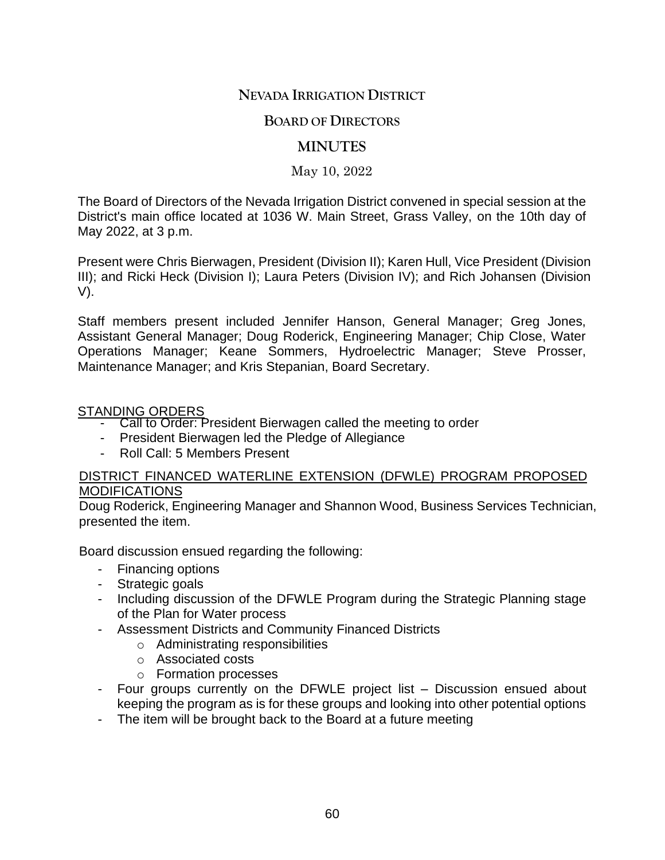## **NEVADA IRRIGATION DISTRICT**

### **BOARD OF DIRECTORS**

# **MINUTES**

#### May 10, 2022

The Board of Directors of the Nevada Irrigation District convened in special session at the District's main office located at 1036 W. Main Street, Grass Valley, on the 10th day of May 2022, at 3 p.m.

Present were Chris Bierwagen, President (Division II); Karen Hull, Vice President (Division III); and Ricki Heck (Division I); Laura Peters (Division IV); and Rich Johansen (Division V).

Staff members present included Jennifer Hanson, General Manager; Greg Jones, Assistant General Manager; Doug Roderick, Engineering Manager; Chip Close, Water Operations Manager; Keane Sommers, Hydroelectric Manager; Steve Prosser, Maintenance Manager; and Kris Stepanian, Board Secretary.

#### STANDING ORDERS

- Call to Order: President Bierwagen called the meeting to order
- President Bierwagen led the Pledge of Allegiance
- Roll Call: 5 Members Present

#### DISTRICT FINANCED WATERLINE EXTENSION (DFWLE) PROGRAM PROPOSED MODIFICATIONS

Doug Roderick, Engineering Manager and Shannon Wood, Business Services Technician, presented the item.

Board discussion ensued regarding the following:

- Financing options
- Strategic goals
- Including discussion of the DFWLE Program during the Strategic Planning stage of the Plan for Water process
- Assessment Districts and Community Financed Districts
	- o Administrating responsibilities
	- o Associated costs
	- o Formation processes
- Four groups currently on the DFWLE project list Discussion ensued about keeping the program as is for these groups and looking into other potential options
- The item will be brought back to the Board at a future meeting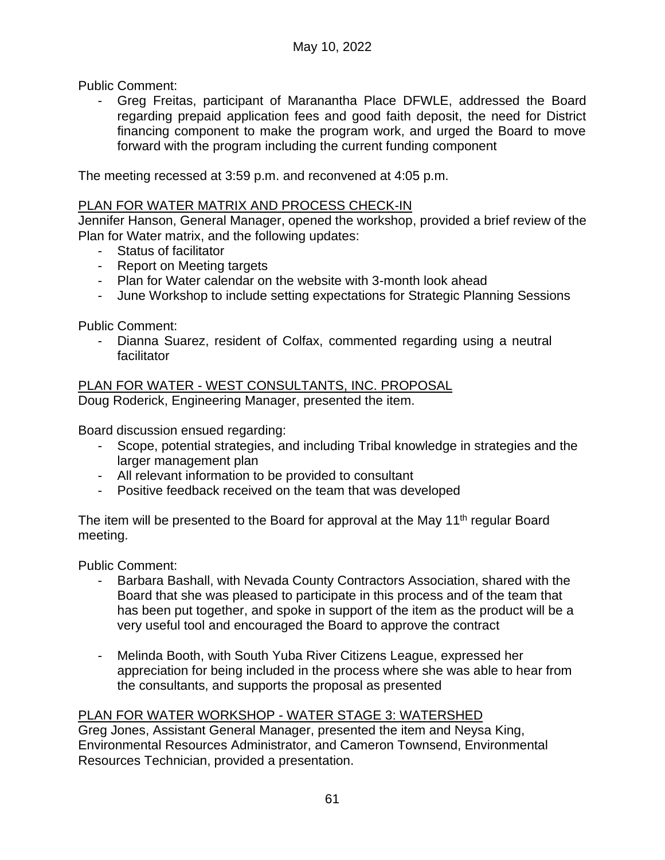Public Comment:

- Greg Freitas, participant of Maranantha Place DFWLE, addressed the Board regarding prepaid application fees and good faith deposit, the need for District financing component to make the program work, and urged the Board to move forward with the program including the current funding component

The meeting recessed at 3:59 p.m. and reconvened at 4:05 p.m.

### PLAN FOR WATER MATRIX AND PROCESS CHECK-IN

Jennifer Hanson, General Manager, opened the workshop, provided a brief review of the Plan for Water matrix, and the following updates:

- Status of facilitator
- Report on Meeting targets
- Plan for Water calendar on the website with 3-month look ahead
- June Workshop to include setting expectations for Strategic Planning Sessions

Public Comment:

- Dianna Suarez, resident of Colfax, commented regarding using a neutral facilitator

PLAN FOR WATER - WEST CONSULTANTS, INC. PROPOSAL

Doug Roderick, Engineering Manager, presented the item.

Board discussion ensued regarding:

- Scope, potential strategies, and including Tribal knowledge in strategies and the larger management plan
- All relevant information to be provided to consultant
- Positive feedback received on the team that was developed

The item will be presented to the Board for approval at the May 11<sup>th</sup> regular Board meeting.

Public Comment:

- Barbara Bashall, with Nevada County Contractors Association, shared with the Board that she was pleased to participate in this process and of the team that has been put together, and spoke in support of the item as the product will be a very useful tool and encouraged the Board to approve the contract
- Melinda Booth, with South Yuba River Citizens League, expressed her appreciation for being included in the process where she was able to hear from the consultants, and supports the proposal as presented

#### PLAN FOR WATER WORKSHOP - WATER STAGE 3: WATERSHED

Greg Jones, Assistant General Manager, presented the item and Neysa King, Environmental Resources Administrator, and Cameron Townsend, Environmental Resources Technician, provided a presentation.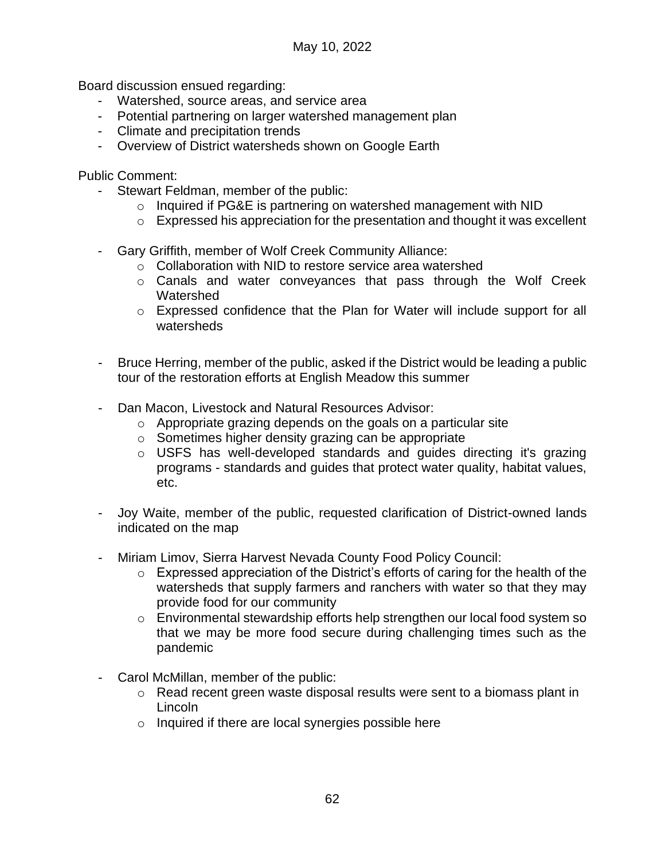Board discussion ensued regarding:

- Watershed, source areas, and service area
- Potential partnering on larger watershed management plan
- Climate and precipitation trends
- Overview of District watersheds shown on Google Earth

Public Comment:

- Stewart Feldman, member of the public:
	- o Inquired if PG&E is partnering on watershed management with NID
	- $\circ$  Expressed his appreciation for the presentation and thought it was excellent
- Gary Griffith, member of Wolf Creek Community Alliance:
	- o Collaboration with NID to restore service area watershed
	- o Canals and water conveyances that pass through the Wolf Creek Watershed
	- o Expressed confidence that the Plan for Water will include support for all watersheds
- Bruce Herring, member of the public, asked if the District would be leading a public tour of the restoration efforts at English Meadow this summer
- Dan Macon, Livestock and Natural Resources Advisor:
	- o Appropriate grazing depends on the goals on a particular site
	- o Sometimes higher density grazing can be appropriate
	- o USFS has well-developed standards and guides directing it's grazing programs - standards and guides that protect water quality, habitat values, etc.
- Joy Waite, member of the public, requested clarification of District-owned lands indicated on the map
- Miriam Limov, Sierra Harvest Nevada County Food Policy Council:
	- o Expressed appreciation of the District's efforts of caring for the health of the watersheds that supply farmers and ranchers with water so that they may provide food for our community
	- o Environmental stewardship efforts help strengthen our local food system so that we may be more food secure during challenging times such as the pandemic
- Carol McMillan, member of the public:
	- o Read recent green waste disposal results were sent to a biomass plant in Lincoln
	- o Inquired if there are local synergies possible here